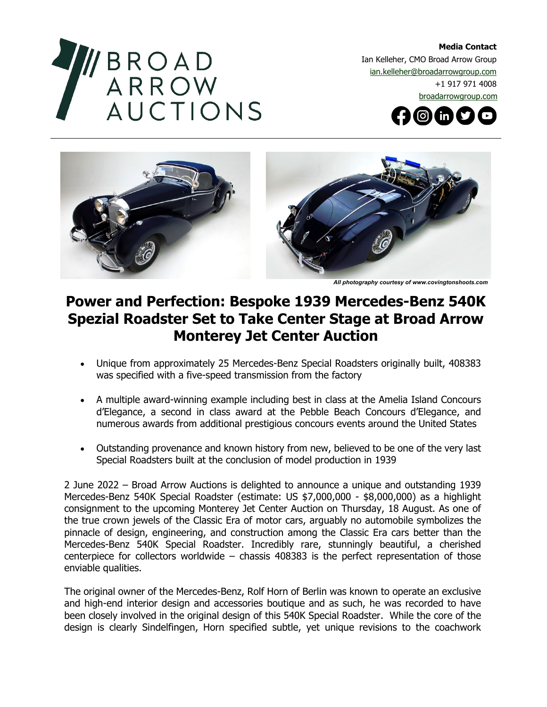## WBROAD<br>ARROW<br>AUCTIONS

**Media Contact**  Ian Kelleher, CMO Broad Arrow Group ian.kelleher@broadarrowgroup.com +1 917 971 4008

[broadarrowgroup.com](http://www.broadarrowgroup.com/)





*All photography courtesy of www.covingtonshoots.com*

## **Power and Perfection: Bespoke 1939 Mercedes-Benz 540K Spezial Roadster Set to Take Center Stage at Broad Arrow Monterey Jet Center Auction**

- Unique from approximately 25 Mercedes-Benz Special Roadsters originally built, 408383 was specified with a five-speed transmission from the factory
- A multiple award-winning example including best in class at the Amelia Island Concours d'Elegance, a second in class award at the Pebble Beach Concours d'Elegance, and numerous awards from additional prestigious concours events around the United States
- Outstanding provenance and known history from new, believed to be one of the very last Special Roadsters built at the conclusion of model production in 1939

2 June 2022 – Broad Arrow Auctions is delighted to announce a unique and outstanding 1939 Mercedes-Benz 540K Special Roadster (estimate: US \$7,000,000 - \$8,000,000) as a highlight consignment to the upcoming Monterey Jet Center Auction on Thursday, 18 August. As one of the true crown jewels of the Classic Era of motor cars, arguably no automobile symbolizes the pinnacle of design, engineering, and construction among the Classic Era cars better than the Mercedes-Benz 540K Special Roadster. Incredibly rare, stunningly beautiful, a cherished centerpiece for collectors worldwide – chassis 408383 is the perfect representation of those enviable qualities.

The original owner of the Mercedes-Benz, Rolf Horn of Berlin was known to operate an exclusive and high-end interior design and accessories boutique and as such, he was recorded to have been closely involved in the original design of this 540K Special Roadster. While the core of the design is clearly Sindelfingen, Horn specified subtle, yet unique revisions to the coachwork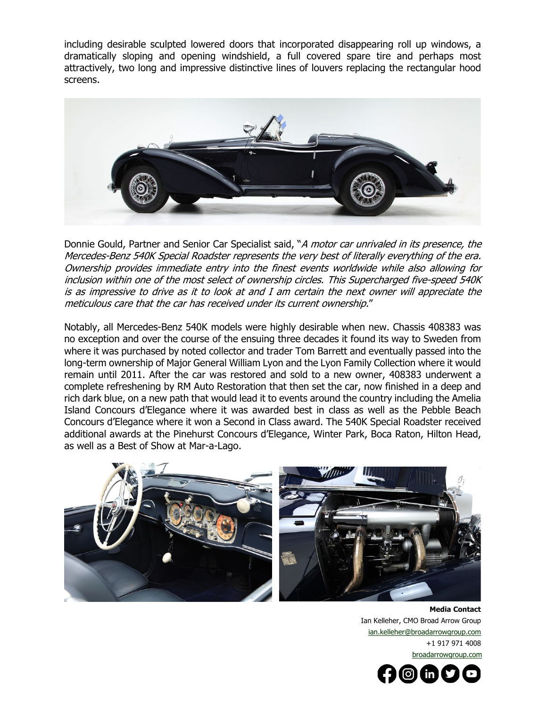including desirable sculpted lowered doors that incorporated disappearing roll up windows, a dramatically sloping and opening windshield, a full covered spare tire and perhaps most attractively, two long and impressive distinctive lines of louvers replacing the rectangular hood screens.



Donnie Gould, Partner and Senior Car Specialist said, "A motor car unrivaled in its presence, the Mercedes-Benz 540K Special Roadster represents the very best of literally everything of the era. Ownership provides immediate entry into the finest events worldwide while also allowing for inclusion within one of the most select of ownership circles. This Supercharged five-speed 540K is as impressive to drive as it to look at and I am certain the next owner will appreciate the meticulous care that the car has received under its current ownership."

Notably, all Mercedes-Benz 540K models were highly desirable when new. Chassis 408383 was no exception and over the course of the ensuing three decades it found its way to Sweden from where it was purchased by noted collector and trader Tom Barrett and eventually passed into the long-term ownership of Major General William Lyon and the Lyon Family Collection where it would remain until 2011. After the car was restored and sold to a new owner, 408383 underwent a complete refreshening by RM Auto Restoration that then set the car, now finished in a deep and rich dark blue, on a new path that would lead it to events around the country including the Amelia Island Concours d'Elegance where it was awarded best in class as well as the Pebble Beach Concours d'Elegance where it won a Second in Class award. The 540K Special Roadster received additional awards at the Pinehurst Concours d'Elegance, Winter Park, Boca Raton, Hilton Head, as well as a Best of Show at Mar-a-Lago.





**Media Contact** Ian Kelleher, CMO Broad Arrow Group [ian.kelleher@broadarrowgroup.com](mailto:ian.kelleher@broadarrowgroup.com) +1 917 971 4008 [broadarrowgroup.com](http://www.broadarrowgroup.com/)